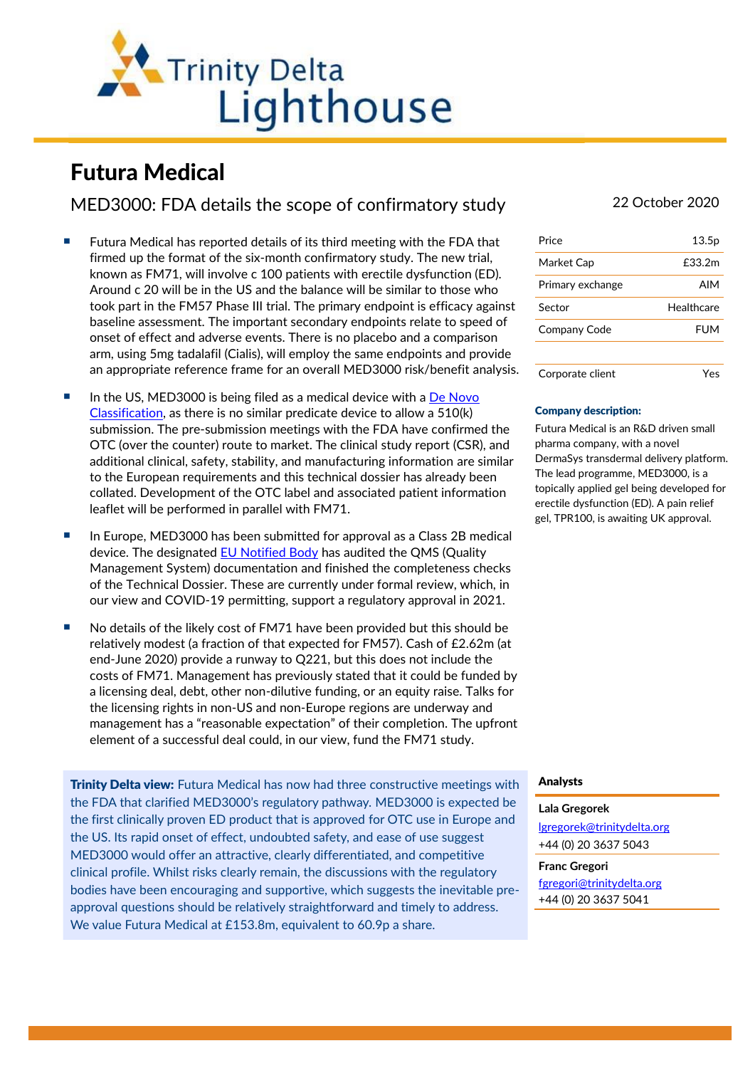

# Futura Medical

## MED3000: FDA details the scope of confirmatory study 22 October 2020

- Futura Medical has reported details of its third meeting with the FDA that firmed up the format of the six-month confirmatory study. The new trial, known as FM71, will involve c 100 patients with erectile dysfunction (ED). Around c 20 will be in the US and the balance will be similar to those who took part in the FM57 Phase III trial. The primary endpoint is efficacy against baseline assessment. The important secondary endpoints relate to speed of onset of effect and adverse events. There is no placebo and a comparison arm, using 5mg tadalafil (Cialis), will employ the same endpoints and provide an appropriate reference frame for an overall MED3000 risk/benefit analysis.
- In the US, MED3000 is being filed as a medical device with a De Novo [Classification,](https://www.fda.gov/medical-devices/premarket-submissions/de-novo-classification-request) as there is no similar predicate device to allow a 510(k) submission. The pre-submission meetings with the FDA have confirmed the OTC (over the counter) route to market. The clinical study report (CSR), and additional clinical, safety, stability, and manufacturing information are similar to the European requirements and this technical dossier has already been collated. Development of the OTC label and associated patient information leaflet will be performed in parallel with FM71.
- In Europe, MED3000 has been submitted for approval as a Class 2B medical device. The designated **EU Notified Body** has audited the QMS (Quality Management System) documentation and finished the completeness checks of the Technical Dossier. These are currently under formal review, which, in our view and COVID-19 permitting, support a regulatory approval in 2021.
- No details of the likely cost of FM71 have been provided but this should be relatively modest (a fraction of that expected for FM57). Cash of £2.62m (at end-June 2020) provide a runway to Q221, but this does not include the costs of FM71. Management has previously stated that it could be funded by a licensing deal, debt, other non-dilutive funding, or an equity raise. Talks for the licensing rights in non-US and non-Europe regions are underway and management has a "reasonable expectation" of their completion. The upfront element of a successful deal could, in our view, fund the FM71 study.

**Trinity Delta view:** Futura Medical has now had three constructive meetings with the FDA that clarified MED3000's regulatory pathway. MED3000 is expected be the first clinically proven ED product that is approved for OTC use in Europe and the US. Its rapid onset of effect, undoubted safety, and ease of use suggest MED3000 would offer an attractive, clearly differentiated, and competitive clinical profile. Whilst risks clearly remain, the discussions with the regulatory bodies have been encouraging and supportive, which suggests the inevitable preapproval questions should be relatively straightforward and timely to address. We value Futura Medical at £153.8m, equivalent to 60.9p a share.

| Price            | 13.5p      |
|------------------|------------|
| Market Cap       | £33.2m     |
| Primary exchange | AIM        |
| Sector           | Healthcare |
| Company Code     | FUM        |
|                  |            |
| Corporate client |            |

### Company description:

Futura Medical is an R&D driven small pharma company, with a novel DermaSys transdermal delivery platform. The lead programme, MED3000, is a topically applied gel being developed for erectile dysfunction (ED). A pain relief gel, TPR100, is awaiting UK approval.

### Analysts

#### **Lala Gregorek**

[lgregorek@trinitydelta.org](mailto:lgregorek@trinitydelta.org) +44 (0) 20 3637 5043

**Franc Gregori** [fgregori@trinitydelta.org](mailto:fgregori@trinitydelta.org) +44 (0) 20 3637 5041